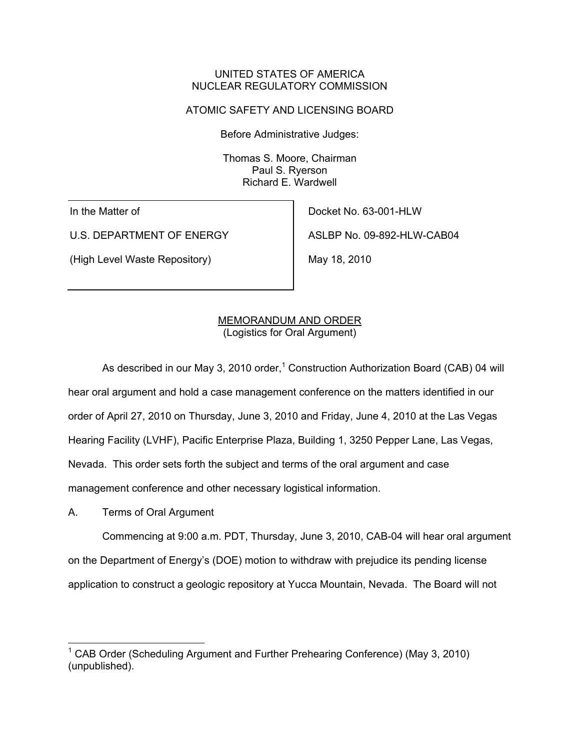## UNITED STATES OF AMERICA NUCLEAR REGULATORY COMMISSION

# ATOMIC SAFETY AND LICENSING BOARD

Before Administrative Judges:

Thomas S. Moore, Chairman Paul S. Ryerson Richard E. Wardwell

In the Matter of

U.S. DEPARTMENT OF ENERGY

(High Level Waste Repository)

Docket No. 63-001-HLW ASLBP No. 09-892-HLW-CAB04

May 18, 2010

## MEMORANDUM AND ORDER (Logistics for Oral Argument)

As described in our May 3, 2010 order,<sup>1</sup> Construction Authorization Board (CAB) 04 will hear oral argument and hold a case management conference on the matters identified in our order of April 27, 2010 on Thursday, June 3, 2010 and Friday, June 4, 2010 at the Las Vegas Hearing Facility (LVHF), Pacific Enterprise Plaza, Building 1, 3250 Pepper Lane, Las Vegas, Nevada. This order sets forth the subject and terms of the oral argument and case management conference and other necessary logistical information.

A. Terms of Oral Argument

 Commencing at 9:00 a.m. PDT, Thursday, June 3, 2010, CAB-04 will hear oral argument on the Department of Energy's (DOE) motion to withdraw with prejudice its pending license application to construct a geologic repository at Yucca Mountain, Nevada. The Board will not

<sup>&</sup>lt;sup>1</sup> CAB Order (Scheduling Argument and Further Prehearing Conference) (May 3, 2010) (unpublished).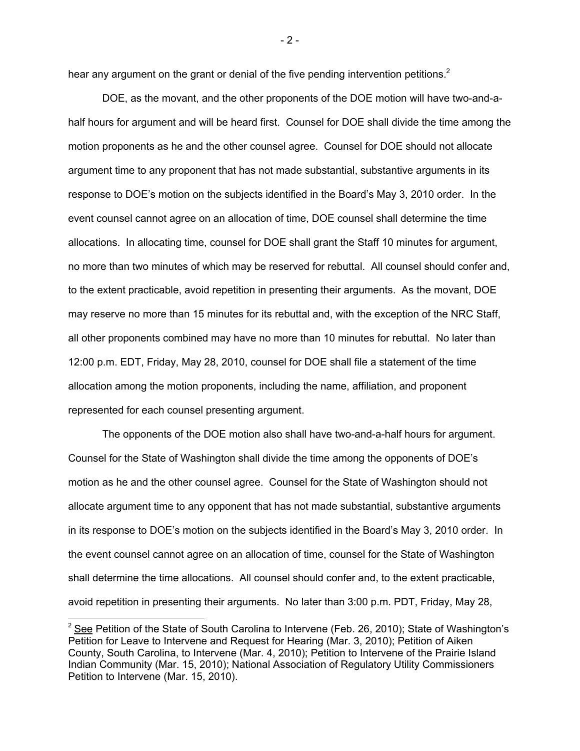hear any argument on the grant or denial of the five pending intervention petitions.<sup>2</sup>

 DOE, as the movant, and the other proponents of the DOE motion will have two-and-ahalf hours for argument and will be heard first. Counsel for DOE shall divide the time among the motion proponents as he and the other counsel agree. Counsel for DOE should not allocate argument time to any proponent that has not made substantial, substantive arguments in its response to DOE's motion on the subjects identified in the Board's May 3, 2010 order. In the event counsel cannot agree on an allocation of time, DOE counsel shall determine the time allocations. In allocating time, counsel for DOE shall grant the Staff 10 minutes for argument, no more than two minutes of which may be reserved for rebuttal. All counsel should confer and, to the extent practicable, avoid repetition in presenting their arguments. As the movant, DOE may reserve no more than 15 minutes for its rebuttal and, with the exception of the NRC Staff, all other proponents combined may have no more than 10 minutes for rebuttal. No later than 12:00 p.m. EDT, Friday, May 28, 2010, counsel for DOE shall file a statement of the time allocation among the motion proponents, including the name, affiliation, and proponent represented for each counsel presenting argument.

 The opponents of the DOE motion also shall have two-and-a-half hours for argument. Counsel for the State of Washington shall divide the time among the opponents of DOE's motion as he and the other counsel agree. Counsel for the State of Washington should not allocate argument time to any opponent that has not made substantial, substantive arguments in its response to DOE's motion on the subjects identified in the Board's May 3, 2010 order. In the event counsel cannot agree on an allocation of time, counsel for the State of Washington shall determine the time allocations. All counsel should confer and, to the extent practicable, avoid repetition in presenting their arguments. No later than 3:00 p.m. PDT, Friday, May 28,

-

- 2 -

<sup>&</sup>lt;sup>2</sup> See Petition of the State of South Carolina to Intervene (Feb. 26, 2010); State of Washington's Petition for Leave to Intervene and Request for Hearing (Mar. 3, 2010); Petition of Aiken County, South Carolina, to Intervene (Mar. 4, 2010); Petition to Intervene of the Prairie Island Indian Community (Mar. 15, 2010); National Association of Regulatory Utility Commissioners Petition to Intervene (Mar. 15, 2010).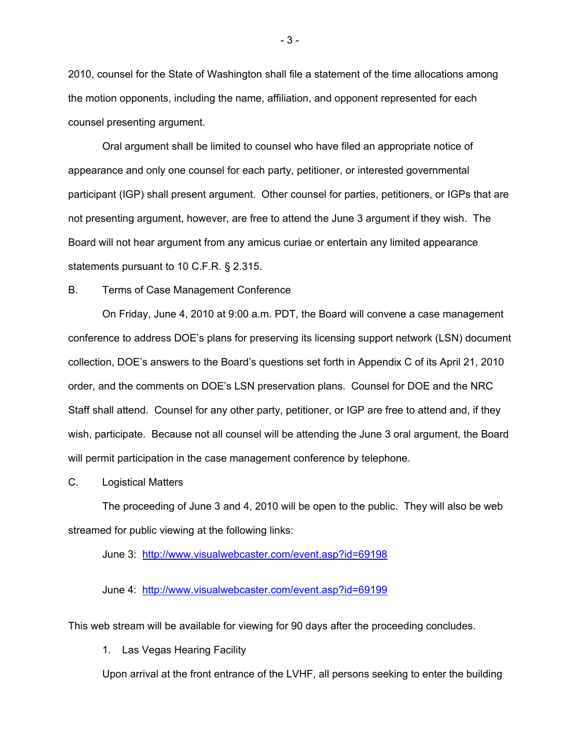2010, counsel for the State of Washington shall file a statement of the time allocations among the motion opponents, including the name, affiliation, and opponent represented for each counsel presenting argument.

 Oral argument shall be limited to counsel who have filed an appropriate notice of appearance and only one counsel for each party, petitioner, or interested governmental participant (IGP) shall present argument. Other counsel for parties, petitioners, or IGPs that are not presenting argument, however, are free to attend the June 3 argument if they wish. The Board will not hear argument from any amicus curiae or entertain any limited appearance statements pursuant to 10 C.F.R. § 2.315.

B. Terms of Case Management Conference

 On Friday, June 4, 2010 at 9:00 a.m. PDT, the Board will convene a case management conference to address DOE's plans for preserving its licensing support network (LSN) document collection, DOE's answers to the Board's questions set forth in Appendix C of its April 21, 2010 order, and the comments on DOE's LSN preservation plans. Counsel for DOE and the NRC Staff shall attend. Counsel for any other party, petitioner, or IGP are free to attend and, if they wish, participate. Because not all counsel will be attending the June 3 oral argument, the Board will permit participation in the case management conference by telephone.

C. Logistical Matters

 The proceeding of June 3 and 4, 2010 will be open to the public. They will also be web streamed for public viewing at the following links:

June 3: http://www.visualwebcaster.com/event.asp?id=69198

June 4: http://www.visualwebcaster.com/event.asp?id=69199

This web stream will be available for viewing for 90 days after the proceeding concludes.

1. Las Vegas Hearing Facility

Upon arrival at the front entrance of the LVHF, all persons seeking to enter the building

- 3 -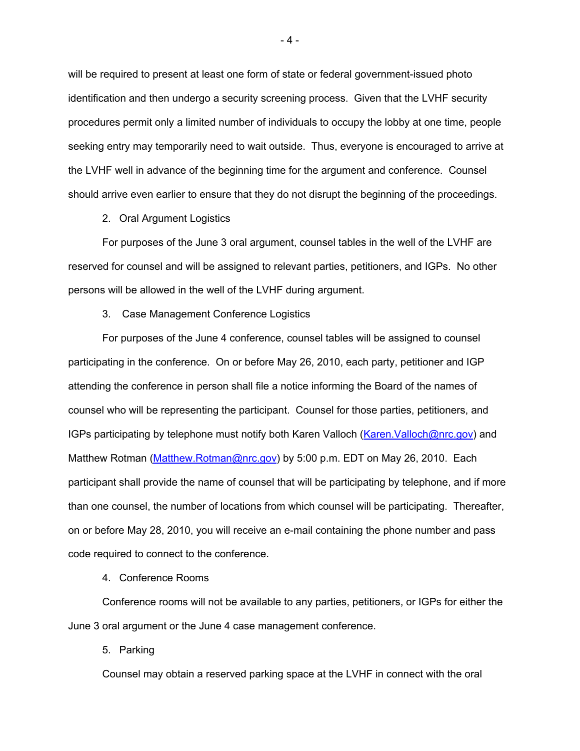will be required to present at least one form of state or federal government-issued photo identification and then undergo a security screening process. Given that the LVHF security procedures permit only a limited number of individuals to occupy the lobby at one time, people seeking entry may temporarily need to wait outside. Thus, everyone is encouraged to arrive at the LVHF well in advance of the beginning time for the argument and conference. Counsel should arrive even earlier to ensure that they do not disrupt the beginning of the proceedings.

2. Oral Argument Logistics

 For purposes of the June 3 oral argument, counsel tables in the well of the LVHF are reserved for counsel and will be assigned to relevant parties, petitioners, and IGPs. No other persons will be allowed in the well of the LVHF during argument.

3. Case Management Conference Logistics

For purposes of the June 4 conference, counsel tables will be assigned to counsel participating in the conference. On or before May 26, 2010, each party, petitioner and IGP attending the conference in person shall file a notice informing the Board of the names of counsel who will be representing the participant. Counsel for those parties, petitioners, and IGPs participating by telephone must notify both Karen Valloch (Karen.Valloch@nrc.gov) and Matthew Rotman (Matthew.Rotman@nrc.gov) by 5:00 p.m. EDT on May 26, 2010. Each participant shall provide the name of counsel that will be participating by telephone, and if more than one counsel, the number of locations from which counsel will be participating. Thereafter, on or before May 28, 2010, you will receive an e-mail containing the phone number and pass code required to connect to the conference.

4. Conference Rooms

Conference rooms will not be available to any parties, petitioners, or IGPs for either the June 3 oral argument or the June 4 case management conference.

5. Parking

Counsel may obtain a reserved parking space at the LVHF in connect with the oral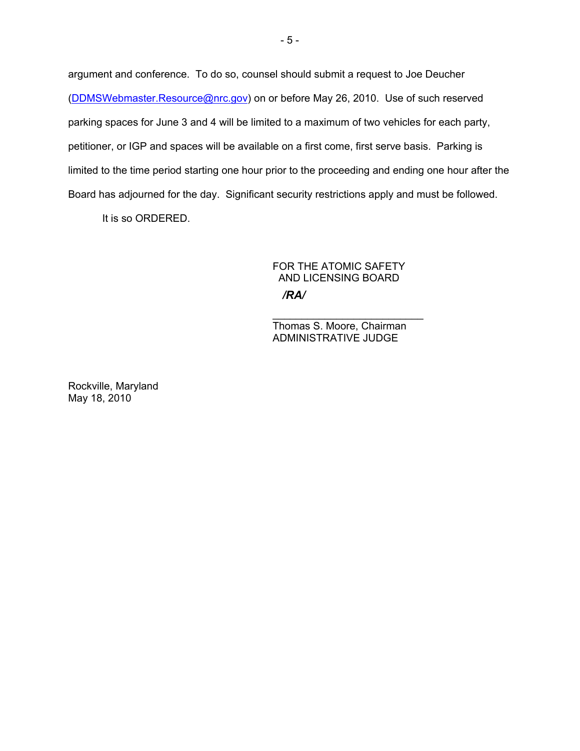argument and conference. To do so, counsel should submit a request to Joe Deucher (DDMSWebmaster.Resource@nrc.gov) on or before May 26, 2010. Use of such reserved parking spaces for June 3 and 4 will be limited to a maximum of two vehicles for each party, petitioner, or IGP and spaces will be available on a first come, first serve basis. Parking is limited to the time period starting one hour prior to the proceeding and ending one hour after the Board has adjourned for the day. Significant security restrictions apply and must be followed.

It is so ORDERED.

# FOR THE ATOMIC SAFETY AND LICENSING BOARD */RA/*

\_\_\_\_\_\_\_\_\_\_\_\_\_\_\_\_\_\_\_\_\_\_\_\_\_\_ Thomas S. Moore, Chairman ADMINISTRATIVE JUDGE

Rockville, Maryland May 18, 2010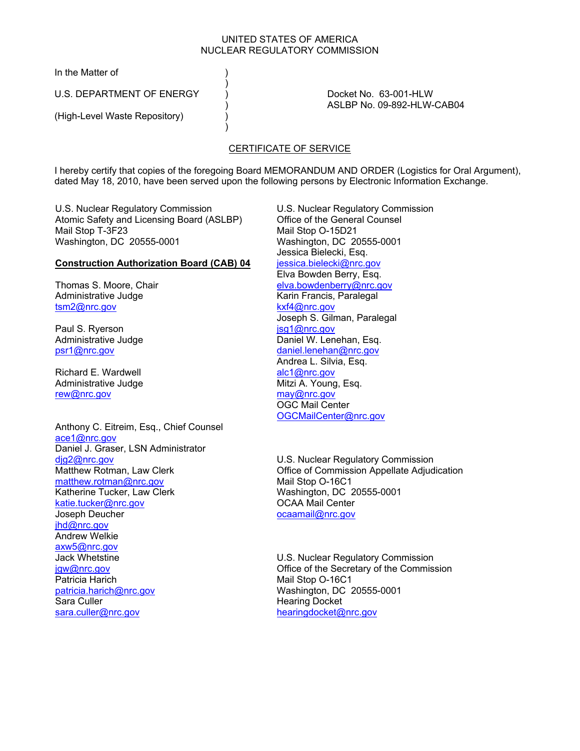#### UNITED STATES OF AMERICA NUCLEAR REGULATORY COMMISSION

In the Matter of (1)

U.S. DEPARTMENT OF ENERGY (DEPARTMENT OF A SALLY CONSTRUCTED ASSETS A DOCKET NO. 63-001-HLW

 $)$ 

 $)$ 

(High-Level Waste Repository) (a

) ASLBP No. 09-892-HLW-CAB04

# CERTIFICATE OF SERVICE

I hereby certify that copies of the foregoing Board MEMORANDUM AND ORDER (Logistics for Oral Argument), dated May 18, 2010, have been served upon the following persons by Electronic Information Exchange.

U.S. Nuclear Regulatory Commission Atomic Safety and Licensing Board (ASLBP) Mail Stop T-3F23 Washington, DC 20555-0001

### **Construction Authorization Board (CAB) 04**

Thomas S. Moore, Chair Administrative Judge tsm2@nrc.gov

Paul S. Ryerson Administrative Judge psr1@nrc.gov

Richard E. Wardwell Administrative Judge rew@nrc.gov

Anthony C. Eitreim, Esq., Chief Counsel ace1@nrc.gov Daniel J. Graser, LSN Administrator djg2@nrc.gov Matthew Rotman, Law Clerk matthew.rotman@nrc.gov Katherine Tucker, Law Clerk katie.tucker@nrc.gov Joseph Deucher ihd@nrc.gov Andrew Welkie axw5@nrc.gov Jack Whetstine jgw@nrc.gov Patricia Harich patricia.harich@nrc.gov Sara Culler sara.culler@nrc.gov

U.S. Nuclear Regulatory Commission Office of the General Counsel Mail Stop O-15D21 Washington, DC 20555-0001 Jessica Bielecki, Esq. jessica.bielecki@nrc.gov Elva Bowden Berry, Esq. elva.bowdenberry@nrc.gov Karin Francis, Paralegal kxf4@nrc.gov Joseph S. Gilman, Paralegal jsg1@nrc.gov Daniel W. Lenehan, Esq. daniel.lenehan@nrc.gov Andrea L. Silvia, Esq. alc1@nrc.gov Mitzi A. Young, Esq. may@nrc.gov OGC Mail Center OGCMailCenter@nrc.gov

U.S. Nuclear Regulatory Commission Office of Commission Appellate Adjudication Mail Stop O-16C1 Washington, DC 20555-0001 OCAA Mail Center ocaamail@nrc.gov

U.S. Nuclear Regulatory Commission Office of the Secretary of the Commission Mail Stop O-16C1 Washington, DC 20555-0001 Hearing Docket hearingdocket@nrc.gov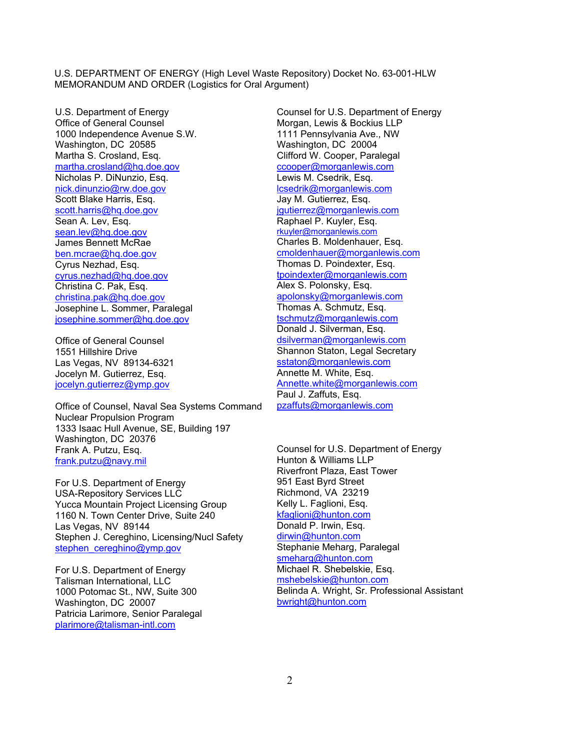U.S. Department of Energy Office of General Counsel 1000 Independence Avenue S.W. Washington, DC 20585 Martha S. Crosland, Esq. martha.crosland@hq.doe.gov Nicholas P. DiNunzio, Esq. nick.dinunzio@rw.doe.gov Scott Blake Harris, Esq. scott.harris@hq.doe.gov Sean A. Lev, Esq. sean.lev@hq.doe.gov James Bennett McRae ben.mcrae@hq.doe.gov Cyrus Nezhad, Esq. cyrus.nezhad@hq.doe.gov Christina C. Pak, Esq. christina.pak@hq.doe.gov Josephine L. Sommer, Paralegal josephine.sommer@hq.doe.gov

Office of General Counsel 1551 Hillshire Drive Las Vegas, NV 89134-6321 Jocelyn M. Gutierrez, Esq. jocelyn.gutierrez@ymp.gov

Office of Counsel, Naval Sea Systems Command Nuclear Propulsion Program 1333 Isaac Hull Avenue, SE, Building 197 Washington, DC 20376 Frank A. Putzu, Esq. frank.putzu@navy.mil

For U.S. Department of Energy USA-Repository Services LLC Yucca Mountain Project Licensing Group 1160 N. Town Center Drive, Suite 240 Las Vegas, NV 89144 Stephen J. Cereghino, Licensing/Nucl Safety stephen\_cereghino@ymp.gov

For U.S. Department of Energy Talisman International, LLC 1000 Potomac St., NW, Suite 300 Washington, DC 20007 Patricia Larimore, Senior Paralegal plarimore@talisman-intl.com

Counsel for U.S. Department of Energy Morgan, Lewis & Bockius LLP 1111 Pennsylvania Ave., NW Washington, DC 20004 Clifford W. Cooper, Paralegal ccooper@morganlewis.com Lewis M. Csedrik, Esq. lcsedrik@morganlewis.com Jay M. Gutierrez, Esq. igutierrez@morganlewis.com Raphael P. Kuyler, Esq. rkuyler@morganlewis.com Charles B. Moldenhauer, Esq. cmoldenhauer@morganlewis.com Thomas D. Poindexter, Esq. tpoindexter@morganlewis.com Alex S. Polonsky, Esq. apolonsky@morganlewis.com Thomas A. Schmutz, Esq. tschmutz@morganlewis.com Donald J. Silverman, Esq. dsilverman@morganlewis.com Shannon Staton, Legal Secretary sstaton@morganlewis.com Annette M. White, Esq. Annette.white@morganlewis.com Paul J. Zaffuts, Esq. pzaffuts@morganlewis.com

Counsel for U.S. Department of Energy Hunton & Williams LLP Riverfront Plaza, East Tower 951 East Byrd Street Richmond, VA 23219 Kelly L. Faglioni, Esq. kfaglioni@hunton.com Donald P. Irwin, Esq. dirwin@hunton.com Stephanie Meharg, Paralegal smeharg@hunton.com Michael R. Shebelskie, Esq. mshebelskie@hunton.com Belinda A. Wright, Sr. Professional Assistant bwright@hunton.com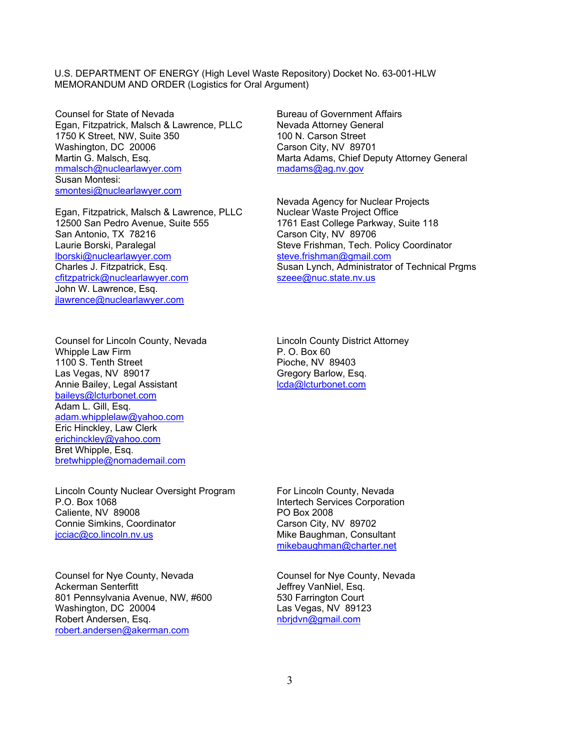Counsel for State of Nevada Egan, Fitzpatrick, Malsch & Lawrence, PLLC 1750 K Street, NW, Suite 350 Washington, DC 20006 Martin G. Malsch, Esq. mmalsch@nuclearlawyer.com Susan Montesi: smontesi@nuclearlawyer.com

Egan, Fitzpatrick, Malsch & Lawrence, PLLC 12500 San Pedro Avenue, Suite 555 San Antonio, TX 78216 Laurie Borski, Paralegal lborski@nuclearlawyer.com Charles J. Fitzpatrick, Esq. cfitzpatrick@nuclearlawyer.com John W. Lawrence, Esq. jlawrence@nuclearlawyer.com

Counsel for Lincoln County, Nevada Whipple Law Firm 1100 S. Tenth Street Las Vegas, NV 89017 Annie Bailey, Legal Assistant baileys@lcturbonet.com Adam L. Gill, Esq. adam.whipplelaw@yahoo.com Eric Hinckley, Law Clerk erichinckley@yahoo.com Bret Whipple, Esq. bretwhipple@nomademail.com

Lincoln County Nuclear Oversight Program P.O. Box 1068 Caliente, NV 89008 Connie Simkins, Coordinator jcciac@co.lincoln.nv.us

Counsel for Nye County, Nevada Ackerman Senterfitt 801 Pennsylvania Avenue, NW, #600 Washington, DC 20004 Robert Andersen, Esq. robert.andersen@akerman.com

Bureau of Government Affairs Nevada Attorney General 100 N. Carson Street Carson City, NV 89701 Marta Adams, Chief Deputy Attorney General madams@ag.nv.gov

Nevada Agency for Nuclear Projects Nuclear Waste Project Office 1761 East College Parkway, Suite 118 Carson City, NV 89706 Steve Frishman, Tech. Policy Coordinator steve.frishman@gmail.com Susan Lynch, Administrator of Technical Prgms szeee@nuc.state.nv.us

Lincoln County District Attorney P. O. Box 60 Pioche, NV 89403 Gregory Barlow, Esq. lcda@lcturbonet.com

For Lincoln County, Nevada Intertech Services Corporation PO Box 2008 Carson City, NV 89702 Mike Baughman, Consultant mikebaughman@charter.net

Counsel for Nye County, Nevada Jeffrey VanNiel, Esq. 530 Farrington Court Las Vegas, NV 89123 nbrjdvn@gmail.com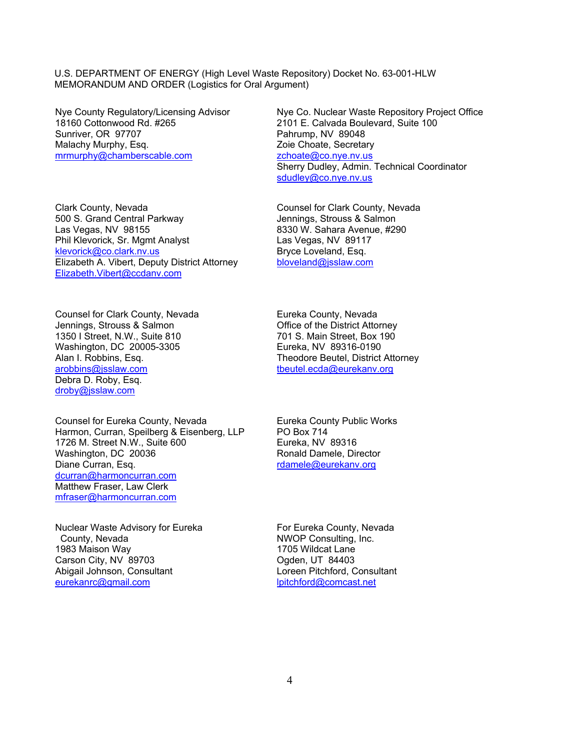Nye County Regulatory/Licensing Advisor 18160 Cottonwood Rd. #265 Sunriver, OR 97707 Malachy Murphy, Esq. mrmurphy@chamberscable.com

Clark County, Nevada 500 S. Grand Central Parkway Las Vegas, NV 98155 Phil Klevorick, Sr. Mgmt Analyst klevorick@co.clark.nv.us Elizabeth A. Vibert, Deputy District Attorney Elizabeth.Vibert@ccdanv.com

Counsel for Clark County, Nevada Jennings, Strouss & Salmon 1350 I Street, N.W., Suite 810 Washington, DC 20005-3305 Alan I. Robbins, Esq. arobbins@jsslaw.com Debra D. Roby, Esq. droby@jsslaw.com

Counsel for Eureka County, Nevada Harmon, Curran, Speilberg & Eisenberg, LLP 1726 M. Street N.W., Suite 600 Washington, DC 20036 Diane Curran, Esq. dcurran@harmoncurran.com Matthew Fraser, Law Clerk mfraser@harmoncurran.com

Nuclear Waste Advisory for Eureka County, Nevada 1983 Maison Way Carson City, NV 89703 Abigail Johnson, Consultant eurekanrc@gmail.com

Nye Co. Nuclear Waste Repository Project Office 2101 E. Calvada Boulevard, Suite 100 Pahrump, NV 89048 Zoie Choate, Secretary zchoate@co.nye.nv.us Sherry Dudley, Admin. Technical Coordinator sdudley@co.nye.nv.us

Counsel for Clark County, Nevada Jennings, Strouss & Salmon 8330 W. Sahara Avenue, #290 Las Vegas, NV 89117 Bryce Loveland, Esq. bloveland@jsslaw.com

Eureka County, Nevada Office of the District Attorney 701 S. Main Street, Box 190 Eureka, NV 89316-0190 Theodore Beutel, District Attorney tbeutel.ecda@eurekanv.org

Eureka County Public Works PO Box 714 Eureka, NV 89316 Ronald Damele, Director rdamele@eurekanv.org

For Eureka County, Nevada NWOP Consulting, Inc. 1705 Wildcat Lane Ogden, UT 84403 Loreen Pitchford, Consultant lpitchford@comcast.net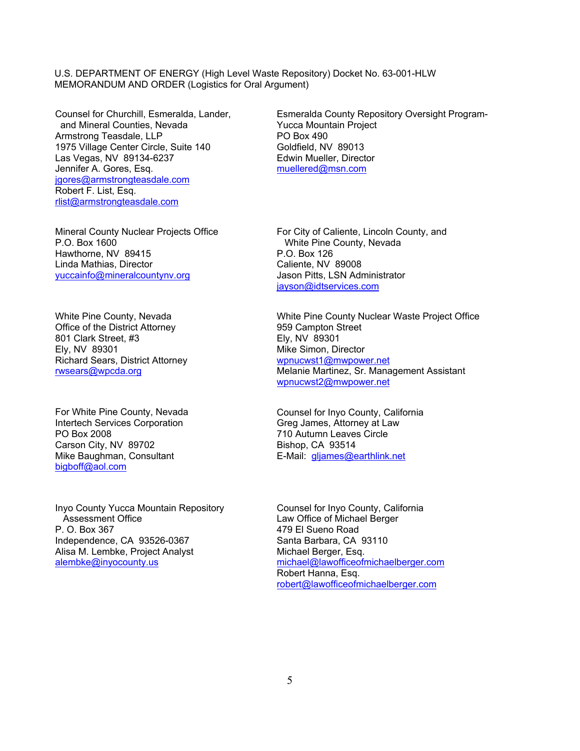Counsel for Churchill, Esmeralda, Lander, and Mineral Counties, Nevada Armstrong Teasdale, LLP 1975 Village Center Circle, Suite 140 Las Vegas, NV 89134-6237 Jennifer A. Gores, Esq. jgores@armstrongteasdale.com Robert F. List, Esq. rlist@armstrongteasdale.com

Mineral County Nuclear Projects Office P.O. Box 1600 Hawthorne, NV 89415 Linda Mathias, Director yuccainfo@mineralcountynv.org

White Pine County, Nevada Office of the District Attorney 801 Clark Street, #3 Ely, NV 89301 Richard Sears, District Attorney rwsears@wpcda.org

For White Pine County, Nevada Intertech Services Corporation PO Box 2008 Carson City, NV 89702 Mike Baughman, Consultant bigboff@aol.com

Inyo County Yucca Mountain Repository Assessment Office P. O. Box 367 Independence, CA 93526-0367 Alisa M. Lembke, Project Analyst alembke@inyocounty.us

Esmeralda County Repository Oversight Program-Yucca Mountain Project PO Box 490 Goldfield, NV 89013 Edwin Mueller, Director muellered@msn.com

For City of Caliente, Lincoln County, and White Pine County, Nevada P.O. Box 126 Caliente, NV 89008 Jason Pitts, LSN Administrator jayson@idtservices.com

White Pine County Nuclear Waste Project Office 959 Campton Street Ely, NV 89301 Mike Simon, Director wpnucwst1@mwpower.net Melanie Martinez, Sr. Management Assistant wpnucwst2@mwpower.net

Counsel for Inyo County, California Greg James, Attorney at Law 710 Autumn Leaves Circle Bishop, CA 93514 E-Mail: gljames@earthlink.net

Counsel for Inyo County, California Law Office of Michael Berger 479 El Sueno Road Santa Barbara, CA 93110 Michael Berger, Esq. michael@lawofficeofmichaelberger.com Robert Hanna, Esq. robert@lawofficeofmichaelberger.com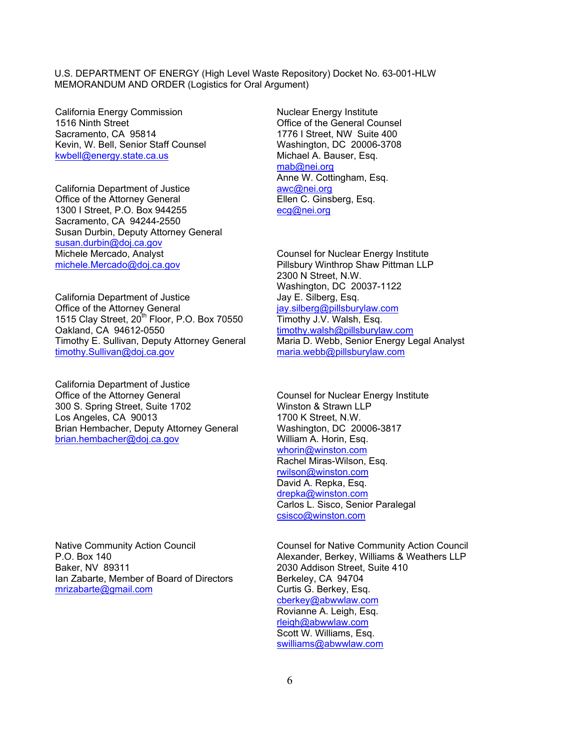California Energy Commission 1516 Ninth Street Sacramento, CA 95814 Kevin, W. Bell, Senior Staff Counsel kwbell@energy.state.ca.us

California Department of Justice Office of the Attorney General 1300 I Street, P.O. Box 944255 Sacramento, CA 94244-2550 Susan Durbin, Deputy Attorney General susan.durbin@doj.ca.gov Michele Mercado, Analyst michele.Mercado@doj.ca.gov

California Department of Justice Office of the Attorney General 1515 Clay Street, 20<sup>th</sup> Floor, P.O. Box 70550 Oakland, CA 94612-0550 Timothy E. Sullivan, Deputy Attorney General timothy.Sullivan@doj.ca.gov

California Department of Justice Office of the Attorney General 300 S. Spring Street, Suite 1702 Los Angeles, CA 90013 Brian Hembacher, Deputy Attorney General brian.hembacher@doj.ca.gov

Native Community Action Council P.O. Box 140 Baker, NV 89311 Ian Zabarte, Member of Board of Directors mrizabarte@gmail.com

Nuclear Energy Institute Office of the General Counsel 1776 I Street, NW Suite 400 Washington, DC 20006-3708 Michael A. Bauser, Esq. mab@nei.org Anne W. Cottingham, Esq. awc@nei.org Ellen C. Ginsberg, Esq. ecg@nei.org

Counsel for Nuclear Energy Institute Pillsbury Winthrop Shaw Pittman LLP 2300 N Street, N.W. Washington, DC 20037-1122 Jay E. Silberg, Esq. jay.silberg@pillsburylaw.com Timothy J.V. Walsh, Esq. timothy.walsh@pillsburylaw.com Maria D. Webb, Senior Energy Legal Analyst maria.webb@pillsburylaw.com

Counsel for Nuclear Energy Institute Winston & Strawn LLP 1700 K Street, N.W. Washington, DC 20006-3817 William A. Horin, Esq. whorin@winston.com Rachel Miras-Wilson, Esq. rwilson@winston.com David A. Repka, Esq. drepka@winston.com Carlos L. Sisco, Senior Paralegal csisco@winston.com

Counsel for Native Community Action Council Alexander, Berkey, Williams & Weathers LLP 2030 Addison Street, Suite 410 Berkeley, CA 94704 Curtis G. Berkey, Esq. cberkey@abwwlaw.com Rovianne A. Leigh, Esq. rleigh@abwwlaw.com Scott W. Williams, Esq. swilliams@abwwlaw.com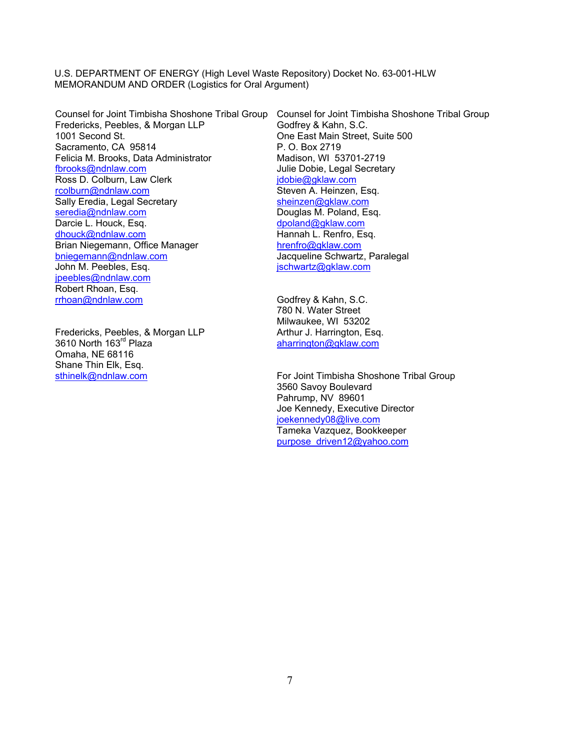Fredericks, Peebles, & Morgan LLP 1001 Second St. Sacramento, CA 95814 Felicia M. Brooks, Data Administrator fbrooks@ndnlaw.com Ross D. Colburn, Law Clerk rcolburn@ndnlaw.com Sally Eredia, Legal Secretary seredia@ndnlaw.com Darcie L. Houck, Esq. dhouck@ndnlaw.com Brian Niegemann, Office Manager bniegemann@ndnlaw.com John M. Peebles, Esq. jpeebles@ndnlaw.com Robert Rhoan, Esq. rrhoan@ndnlaw.com

Fredericks, Peebles, & Morgan LLP 3610 North 163<sup>rd</sup> Plaza Omaha, NE 68116 Shane Thin Elk, Esq. sthinelk@ndnlaw.com

Counsel for Joint Timbisha Shoshone Tribal Group Counsel for Joint Timbisha Shoshone Tribal Group Godfrey & Kahn, S.C. One East Main Street, Suite 500 P. O. Box 2719 Madison, WI 53701-2719 Julie Dobie, Legal Secretary jdobie@gklaw.com Steven A. Heinzen, Esq. sheinzen@gklaw.com Douglas M. Poland, Esq. dpoland@gklaw.com Hannah L. Renfro, Esq. hrenfro@gklaw.com Jacqueline Schwartz, Paralegal jschwartz@gklaw.com

> Godfrey & Kahn, S.C. 780 N. Water Street Milwaukee, WI 53202 Arthur J. Harrington, Esq. aharrington@gklaw.com

For Joint Timbisha Shoshone Tribal Group 3560 Savoy Boulevard Pahrump, NV 89601 Joe Kennedy, Executive Director joekennedy08@live.com Tameka Vazquez, Bookkeeper purpose\_driven12@yahoo.com